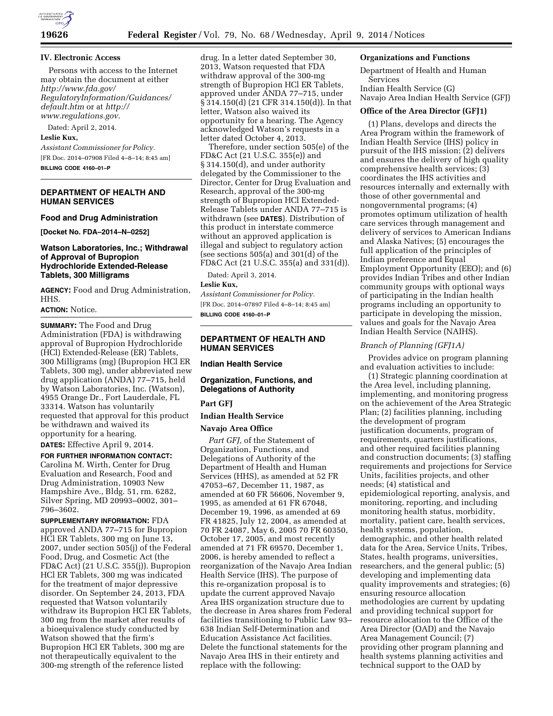

## **IV. Electronic Access**

Persons with access to the Internet may obtain the document at either *[http://www.fda.gov/](http://www.fda.gov/RegulatoryInformation/Guidances/default.htm) [RegulatoryInformation/Guidances/](http://www.fda.gov/RegulatoryInformation/Guidances/default.htm) [default.htm](http://www.fda.gov/RegulatoryInformation/Guidances/default.htm)* or at *[http://](http://www.regulations.gov) [www.regulations.gov](http://www.regulations.gov)*.

Dated: April 2, 2014.

## **Leslie Kux,**

*Assistant Commissioner for Policy.*  [FR Doc. 2014–07908 Filed 4–8–14; 8:45 am] **BILLING CODE 4160–01–P** 

**DEPARTMENT OF HEALTH AND HUMAN SERVICES** 

#### **Food and Drug Administration**

**[Docket No. FDA–2014–N–0252]** 

### **Watson Laboratories, Inc.; Withdrawal of Approval of Bupropion Hydrochloride Extended-Release Tablets, 300 Milligrams**

**AGENCY:** Food and Drug Administration, HHS.

### **ACTION:** Notice.

**SUMMARY:** The Food and Drug Administration (FDA) is withdrawing approval of Bupropion Hydrochloride (HCl) Extended-Release (ER) Tablets, 300 Milligrams (mg) (Bupropion HCl ER Tablets, 300 mg), under abbreviated new drug application (ANDA) 77–715, held by Watson Laboratories, Inc. (Watson), 4955 Orange Dr., Fort Lauderdale, FL 33314. Watson has voluntarily requested that approval for this product be withdrawn and waived its opportunity for a hearing.

**DATES:** Effective April 9, 2014.

**FOR FURTHER INFORMATION CONTACT:**  Carolina M. Wirth, Center for Drug Evaluation and Research, Food and Drug Administration, 10903 New Hampshire Ave., Bldg. 51, rm. 6282, Silver Spring, MD 20993–0002, 301– 796–3602.

**SUPPLEMENTARY INFORMATION:** FDA approved ANDA 77–715 for Bupropion HCl ER Tablets, 300 mg on June 13, 2007, under section 505(j) of the Federal Food, Drug, and Cosmetic Act (the FD&C Act) (21 U.S.C. 355(j)). Bupropion HCl ER Tablets, 300 mg was indicated for the treatment of major depressive disorder. On September 24, 2013, FDA requested that Watson voluntarily withdraw its Bupropion HCl ER Tablets, 300 mg from the market after results of a bioequivalence study conducted by Watson showed that the firm's Bupropion HCl ER Tablets, 300 mg are not therapeutically equivalent to the 300-mg strength of the reference listed

drug. In a letter dated September 30, 2013, Watson requested that FDA withdraw approval of the 300-mg strength of Bupropion HCl ER Tablets, approved under ANDA 77–715, under § 314.150(d) (21 CFR 314.150(d)). In that letter, Watson also waived its opportunity for a hearing. The Agency acknowledged Watson's requests in a letter dated October 4, 2013.

Therefore, under section 505(e) of the FD&C Act (21 U.S.C. 355(e)) and § 314.150(d), and under authority delegated by the Commissioner to the Director, Center for Drug Evaluation and Research, approval of the 300-mg strength of Bupropion HCl Extended-Release Tablets under ANDA 77–715 is withdrawn (see **DATES**). Distribution of this product in interstate commerce without an approved application is illegal and subject to regulatory action (see sections 505(a) and 301(d) of the FD&C Act (21 U.S.C. 355(a) and 331(d)).

Dated: April 3, 2014.

### **Leslie Kux,**

*Assistant Commissioner for Policy.*  [FR Doc. 2014–07897 Filed 4–8–14; 8:45 am] **BILLING CODE 4160–01–P** 

## **DEPARTMENT OF HEALTH AND HUMAN SERVICES**

**Indian Health Service** 

### **Organization, Functions, and Delegations of Authority**

#### **Part GFJ**

## **Indian Health Service**

#### **Navajo Area Office**

*Part GFJ,* of the Statement of Organization, Functions, and Delegations of Authority of the Department of Health and Human Services (HHS), as amended at 52 FR 47053–67, December 11, 1987, as amended at 60 FR 56606, November 9, 1995, as amended at 61 FR 67048, December 19, 1996, as amended at 69 FR 41825, July 12, 2004, as amended at 70 FR 24087, May 6, 2005 70 FR 60350, October 17, 2005, and most recently amended at 71 FR 69570, December 1, 2006, is hereby amended to reflect a reorganization of the Navajo Area Indian Health Service (IHS). The purpose of this re-organization proposal is to update the current approved Navajo Area IHS organization structure due to the decrease in Area shares from Federal facilities transitioning to Public Law 93– 638 Indian Self-Determination and Education Assistance Act facilities. Delete the functional statements for the Navajo Area IHS in their entirety and replace with the following:

#### **Organizations and Functions**

Department of Health and Human Services Indian Health Service (G)

Navajo Area Indian Health Service (GFJ)

### **Office of the Area Director (GFJ1)**

(1) Plans, develops and directs the Area Program within the framework of Indian Health Service (IHS) policy in pursuit of the IHS mission; (2) delivers and ensures the delivery of high quality comprehensive health services; (3) coordinates the IHS activities and resources internally and externally with those of other governmental and nongovernmental programs; (4) promotes optimum utilization of health care services through management and delivery of services to American Indians and Alaska Natives; (5) encourages the full application of the principles of Indian preference and Equal Employment Opportunity (EEO); and (6) provides Indian Tribes and other Indian community groups with optional ways of participating in the Indian health programs including an opportunity to participate in developing the mission, values and goals for the Navajo Area Indian Health Service (NAIHS).

#### *Branch of Planning (GFJ1A)*

Provides advice on program planning and evaluation activities to include:

(1) Strategic planning coordination at the Area level, including planning, implementing, and monitoring progress on the achievement of the Area Strategic Plan; (2) facilities planning, including the development of program justification documents, program of requirements, quarters justifications, and other required facilities planning and construction documents; (3) staffing requirements and projections for Service Units, facilities projects, and other needs; (4) statistical and epidemiological reporting, analysis, and monitoring, reporting, and including monitoring health status, morbidity, mortality, patient care, health services, health systems, population, demographic, and other health related data for the Area, Service Units, Tribes, States, health programs, universities, researchers, and the general public; (5) developing and implementing data quality improvements and strategies; (6) ensuring resource allocation methodologies are current by updating and providing technical support for resource allocation to the Office of the Area Director (OAD) and the Navajo Area Management Council; (7) providing other program planning and health systems planning activities and technical support to the OAD by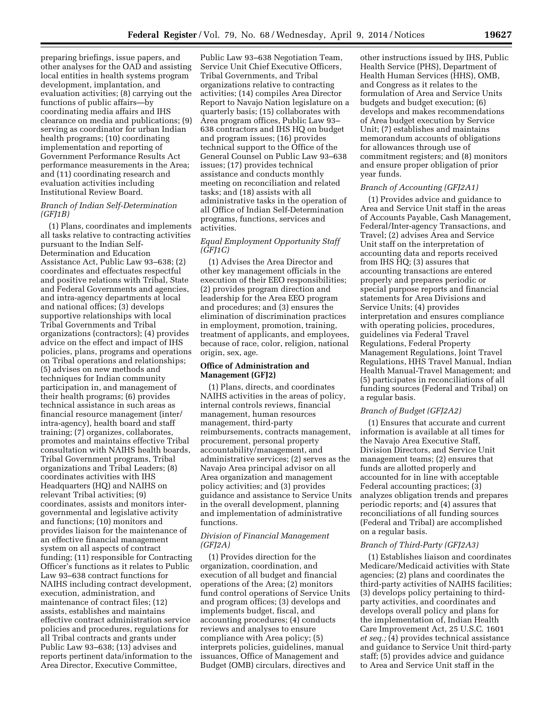preparing briefings, issue papers, and other analyses for the OAD and assisting local entities in health systems program development, implantation, and evaluation activities; (8) carrying out the functions of public affairs—by coordinating media affairs and IHS clearance on media and publications; (9) serving as coordinator for urban Indian health programs; (10) coordinating implementation and reporting of Government Performance Results Act performance measurements in the Area; and (11) coordinating research and evaluation activities including Institutional Review Board.

### *Branch of Indian Self-Determination (GFJ1B)*

(1) Plans, coordinates and implements all tasks relative to contracting activities pursuant to the Indian Self-Determination and Education Assistance Act, Public Law 93–638; (2) coordinates and effectuates respectful and positive relations with Tribal, State and Federal Governments and agencies, and intra-agency departments at local and national offices; (3) develops supportive relationships with local Tribal Governments and Tribal organizations (contractors); (4) provides advice on the effect and impact of IHS policies, plans, programs and operations on Tribal operations and relationships; (5) advises on new methods and techniques for Indian community participation in, and management of their health programs; (6) provides technical assistance in such areas as financial resource management (inter/ intra-agency), health board and staff training; (7) organizes, collaborates, promotes and maintains effective Tribal consultation with NAIHS health boards, Tribal Government programs, Tribal organizations and Tribal Leaders; (8) coordinates activities with IHS Headquarters (HQ) and NAIHS on relevant Tribal activities; (9) coordinates, assists and monitors intergovernmental and legislative activity and functions; (10) monitors and provides liaison for the maintenance of an effective financial management system on all aspects of contract funding; (11) responsible for Contracting Officer's functions as it relates to Public Law 93–638 contract functions for NAIHS including contract development, execution, administration, and maintenance of contract files; (12) assists, establishes and maintains effective contract administration service policies and procedures, regulations for all Tribal contracts and grants under Public Law 93–638; (13) advises and reports pertinent data/information to the Area Director, Executive Committee,

Public Law 93–638 Negotiation Team, Service Unit Chief Executive Officers, Tribal Governments, and Tribal organizations relative to contracting activities; (14) compiles Area Director Report to Navajo Nation legislature on a quarterly basis; (15) collaborates with Area program offices, Public Law 93– 638 contractors and IHS HQ on budget and program issues; (16) provides technical support to the Office of the General Counsel on Public Law 93–638 issues; (17) provides technical assistance and conducts monthly meeting on reconciliation and related tasks; and (18) assists with all administrative tasks in the operation of all Office of Indian Self-Determination programs, functions, services and activities.

## *Equal Employment Opportunity Staff (GFJ1C)*

(1) Advises the Area Director and other key management officials in the execution of their EEO responsibilities; (2) provides program direction and leadership for the Area EEO program and procedures; and (3) ensures the elimination of discrimination practices in employment, promotion, training, treatment of applicants, and employees, because of race, color, religion, national origin, sex, age.

### **Office of Administration and Management (GFJ2)**

(1) Plans, directs, and coordinates NAIHS activities in the areas of policy, internal controls reviews, financial management, human resources management, third-party reimbursements, contracts management, procurement, personal property accountability/management, and administrative services; (2) serves as the Navajo Area principal advisor on all Area organization and management policy activities; and (3) provides guidance and assistance to Service Units in the overall development, planning and implementation of administrative functions.

# *Division of Financial Management (GFJ2A)*

(1) Provides direction for the organization, coordination, and execution of all budget and financial operations of the Area; (2) monitors fund control operations of Service Units and program offices; (3) develops and implements budget, fiscal, and accounting procedures; (4) conducts reviews and analyses to ensure compliance with Area policy; (5) interprets policies, guidelines, manual issuances, Office of Management and Budget (OMB) circulars, directives and

other instructions issued by IHS, Public Health Service (PHS), Department of Health Human Services (HHS), OMB, and Congress as it relates to the formulation of Area and Service Units budgets and budget execution; (6) develops and makes recommendations of Area budget execution by Service Unit; (7) establishes and maintains memorandum accounts of obligations for allowances through use of commitment registers; and (8) monitors and ensure proper obligation of prior year funds.

## *Branch of Accounting (GFJ2A1)*

(1) Provides advice and guidance to Area and Service Unit staff in the areas of Accounts Payable, Cash Management, Federal/Inter-agency Transactions, and Travel; (2) advises Area and Service Unit staff on the interpretation of accounting data and reports received from IHS HQ; (3) assures that accounting transactions are entered properly and prepares periodic or special purpose reports and financial statements for Area Divisions and Service Units; (4) provides interpretation and ensures compliance with operating policies, procedures, guidelines via Federal Travel Regulations, Federal Property Management Regulations, Joint Travel Regulations, HHS Travel Manual, Indian Health Manual-Travel Management; and (5) participates in reconciliations of all funding sources (Federal and Tribal) on a regular basis.

#### *Branch of Budget (GFJ2A2)*

(1) Ensures that accurate and current information is available at all times for the Navajo Area Executive Staff, Division Directors, and Service Unit management teams; (2) ensures that funds are allotted properly and accounted for in line with acceptable Federal accounting practices; (3) analyzes obligation trends and prepares periodic reports; and (4) assures that reconciliations of all funding sources (Federal and Tribal) are accomplished on a regular basis.

#### *Branch of Third-Party (GFJ2A3)*

(1) Establishes liaison and coordinates Medicare/Medicaid activities with State agencies; (2) plans and coordinates the third-party activities of NAIHS facilities; (3) develops policy pertaining to thirdparty activities, and coordinates and develops overall policy and plans for the implementation of, Indian Health Care Improvement Act, 25 U.S.C. 1601 *et seq.;* (4) provides technical assistance and guidance to Service Unit third-party staff; (5) provides advice and guidance to Area and Service Unit staff in the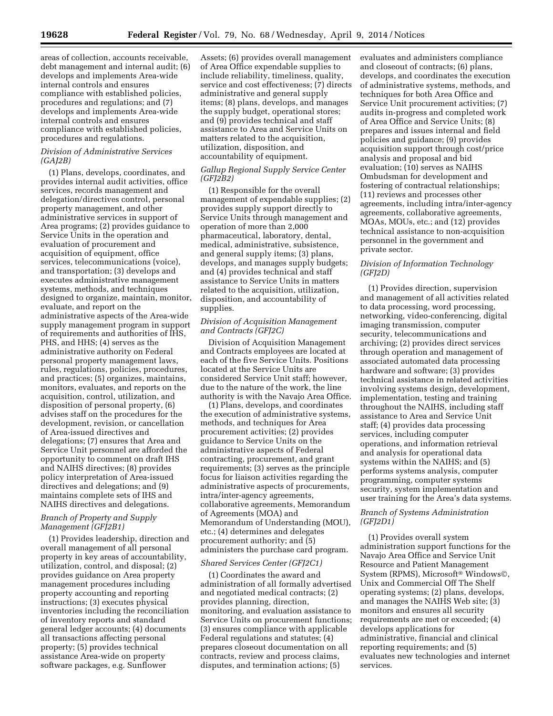areas of collection, accounts receivable, debt management and internal audit; (6) develops and implements Area-wide internal controls and ensures compliance with established policies, procedures and regulations; and (7) develops and implements Area-wide internal controls and ensures compliance with established policies, procedures and regulations.

## *Division of Administrative Services (GAJ2B)*

(1) Plans, develops, coordinates, and provides internal audit activities, office services, records management and delegation/directives control, personal property management, and other administrative services in support of Area programs; (2) provides guidance to Service Units in the operation and evaluation of procurement and acquisition of equipment, office services, telecommunications (voice), and transportation; (3) develops and executes administrative management systems, methods, and techniques designed to organize, maintain, monitor, evaluate, and report on the administrative aspects of the Area-wide supply management program in support of requirements and authorities of IHS, PHS, and HHS; (4) serves as the administrative authority on Federal personal property management laws, rules, regulations, policies, procedures, and practices; (5) organizes, maintains, monitors, evaluates, and reports on the acquisition, control, utilization, and disposition of personal property, (6) advises staff on the procedures for the development, revision, or cancellation of Area-issued directives and delegations; (7) ensures that Area and Service Unit personnel are afforded the opportunity to comment on draft IHS and NAIHS directives; (8) provides policy interpretation of Area-issued directives and delegations; and (9) maintains complete sets of IHS and NAIHS directives and delegations.

# *Branch of Property and Supply Management (GFJ2B1)*

(1) Provides leadership, direction and overall management of all personal property in key areas of accountability, utilization, control, and disposal; (2) provides guidance on Area property management procedures including property accounting and reporting instructions; (3) executes physical inventories including the reconciliation of inventory reports and standard general ledger accounts; (4) documents all transactions affecting personal property; (5) provides technical assistance Area-wide on property software packages, e.g. Sunflower

Assets; (6) provides overall management of Area Office expendable supplies to include reliability, timeliness, quality, service and cost effectiveness; (7) directs administrative and general supply items; (8) plans, develops, and manages the supply budget, operational stores; and (9) provides technical and staff assistance to Area and Service Units on matters related to the acquisition, utilization, disposition, and accountability of equipment.

### *Gallup Regional Supply Service Center (GFJ2B2)*

(1) Responsible for the overall management of expendable supplies; (2) provides supply support directly to Service Units through management and operation of more than 2,000 pharmaceutical, laboratory, dental, medical, administrative, subsistence, and general supply items; (3) plans, develops, and manages supply budgets; and (4) provides technical and staff assistance to Service Units in matters related to the acquisition, utilization, disposition, and accountability of supplies.

# *Division of Acquisition Management and Contracts (GFJ2C)*

Division of Acquisition Management and Contracts employees are located at each of the five Service Units. Positions located at the Service Units are considered Service Unit staff; however, due to the nature of the work, the line authority is with the Navajo Area Office.

(1) Plans, develops, and coordinates the execution of administrative systems, methods, and techniques for Area procurement activities; (2) provides guidance to Service Units on the administrative aspects of Federal contracting, procurement, and grant requirements; (3) serves as the principle focus for liaison activities regarding the administrative aspects of procurements, intra/inter-agency agreements, collaborative agreements, Memorandum of Agreements (MOA) and Memorandum of Understanding (MOU), etc.; (4) determines and delegates procurement authority; and (5) administers the purchase card program.

#### *Shared Services Center (GFJ2C1)*

(1) Coordinates the award and administration of all formally advertised and negotiated medical contracts; (2) provides planning, direction, monitoring, and evaluation assistance to Service Units on procurement functions; (3) ensures compliance with applicable Federal regulations and statutes; (4) prepares closeout documentation on all contracts, review and process claims, disputes, and termination actions; (5)

evaluates and administers compliance and closeout of contracts; (6) plans, develops, and coordinates the execution of administrative systems, methods, and techniques for both Area Office and Service Unit procurement activities; (7) audits in-progress and completed work of Area Office and Service Units; (8) prepares and issues internal and field policies and guidance; (9) provides acquisition support through cost/price analysis and proposal and bid evaluation; (10) serves as NAIHS Ombudsman for development and fostering of contractual relationships; (11) reviews and processes other agreements, including intra/inter-agency agreements, collaborative agreements, MOAs, MOUs, etc.; and (12) provides technical assistance to non-acquisition personnel in the government and private sector.

# *Division of Information Technology (GFJ2D)*

(1) Provides direction, supervision and management of all activities related to data processing, word processing, networking, video-conferencing, digital imaging transmission, computer security, telecommunications and archiving; (2) provides direct services through operation and management of associated automated data processing hardware and software; (3) provides technical assistance in related activities involving systems design, development, implementation, testing and training throughout the NAIHS, including staff assistance to Area and Service Unit staff; (4) provides data processing services, including computer operations, and information retrieval and analysis for operational data systems within the NAIHS; and (5) performs systems analysis, computer programming, computer systems security, system implementation and user training for the Area's data systems.

# *Branch of Systems Administration (GFJ2D1)*

(1) Provides overall system administration support functions for the Navajo Area Office and Service Unit Resource and Patient Management System (RPMS), Microsoft® Windows©, Unix and Commercial Off The Shelf operating systems; (2) plans, develops, and manages the NAIHS Web site; (3) monitors and ensures all security requirements are met or exceeded; (4) develops applications for administrative, financial and clinical reporting requirements; and (5) evaluates new technologies and internet services.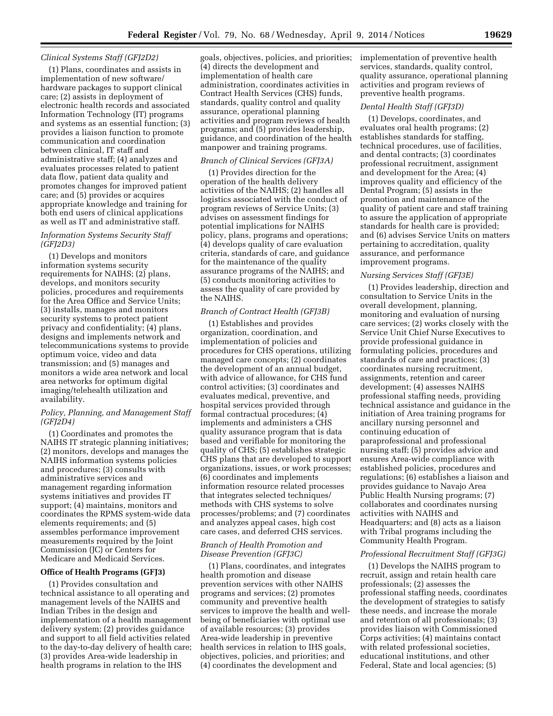#### *Clinical Systems Staff (GFJ2D2)*

(1) Plans, coordinates and assists in implementation of new software/ hardware packages to support clinical care; (2) assists in deployment of electronic health records and associated Information Technology (IT) programs and systems as an essential function; (3) provides a liaison function to promote communication and coordination between clinical, IT staff and administrative staff; (4) analyzes and evaluates processes related to patient data flow, patient data quality and promotes changes for improved patient care; and (5) provides or acquires appropriate knowledge and training for both end users of clinical applications as well as IT and administrative staff.

## *Information Systems Security Staff (GFJ2D3)*

(1) Develops and monitors information systems security requirements for NAIHS; (2) plans, develops, and monitors security policies, procedures and requirements for the Area Office and Service Units; (3) installs, manages and monitors security systems to protect patient privacy and confidentiality; (4) plans, designs and implements network and telecommunications systems to provide optimum voice, video and data transmission; and (5) manages and monitors a wide area network and local area networks for optimum digital imaging/telehealth utilization and availability.

### *Policy, Planning, and Management Staff (GFJ2D4)*

(1) Coordinates and promotes the NAIHS IT strategic planning initiatives; (2) monitors, develops and manages the NAIHS information systems policies and procedures; (3) consults with administrative services and management regarding information systems initiatives and provides IT support; (4) maintains, monitors and coordinates the RPMS system-wide data elements requirements; and (5) assembles performance improvement measurements required by the Joint Commission (JC) or Centers for Medicare and Medicaid Services.

### **Office of Health Programs (GFJ3)**

(1) Provides consultation and technical assistance to all operating and management levels of the NAIHS and Indian Tribes in the design and implementation of a health management delivery system; (2) provides guidance and support to all field activities related to the day-to-day delivery of health care; (3) provides Area-wide leadership in health programs in relation to the IHS

goals, objectives, policies, and priorities; (4) directs the development and implementation of health care administration, coordinates activities in Contract Health Services (CHS) funds, standards, quality control and quality assurance, operational planning activities and program reviews of health programs; and (5) provides leadership, guidance, and coordination of the health manpower and training programs.

# *Branch of Clinical Services (GFJ3A)*

(1) Provides direction for the operation of the health delivery activities of the NAIHS; (2) handles all logistics associated with the conduct of program reviews of Service Units; (3) advises on assessment findings for potential implications for NAIHS policy, plans, programs and operations; (4) develops quality of care evaluation criteria, standards of care, and guidance for the maintenance of the quality assurance programs of the NAIHS; and (5) conducts monitoring activities to assess the quality of care provided by the NAIHS.

#### *Branch of Contract Health (GFJ3B)*

(1) Establishes and provides organization, coordination, and implementation of policies and procedures for CHS operations, utilizing managed care concepts; (2) coordinates the development of an annual budget, with advice of allowance, for CHS fund control activities; (3) coordinates and evaluates medical, preventive, and hospital services provided through formal contractual procedures; (4) implements and administers a CHS quality assurance program that is data based and verifiable for monitoring the quality of CHS; (5) establishes strategic CHS plans that are developed to support organizations, issues, or work processes; (6) coordinates and implements information resource related processes that integrates selected techniques/ methods with CHS systems to solve processes/problems; and (7) coordinates and analyzes appeal cases, high cost care cases, and deferred CHS services.

#### *Branch of Health Promotion and Disease Prevention (GFJ3C)*

(1) Plans, coordinates, and integrates health promotion and disease prevention services with other NAIHS programs and services; (2) promotes community and preventive health services to improve the health and wellbeing of beneficiaries with optimal use of available resources; (3) provides Area-wide leadership in preventive health services in relation to IHS goals, objectives, policies, and priorities; and (4) coordinates the development and

implementation of preventive health services, standards, quality control, quality assurance, operational planning activities and program reviews of preventive health programs.

### *Dental Health Staff (GFJ3D)*

(1) Develops, coordinates, and evaluates oral health programs; (2) establishes standards for staffing, technical procedures, use of facilities, and dental contracts; (3) coordinates professional recruitment, assignment and development for the Area; (4) improves quality and efficiency of the Dental Program; (5) assists in the promotion and maintenance of the quality of patient care and staff training to assure the application of appropriate standards for health care is provided; and (6) advises Service Units on matters pertaining to accreditation, quality assurance, and performance improvement programs.

#### *Nursing Services Staff (GFJ3E)*

(1) Provides leadership, direction and consultation to Service Units in the overall development, planning, monitoring and evaluation of nursing care services; (2) works closely with the Service Unit Chief Nurse Executives to provide professional guidance in formulating policies, procedures and standards of care and practices; (3) coordinates nursing recruitment, assignments, retention and career development; (4) assesses NAIHS professional staffing needs, providing technical assistance and guidance in the initiation of Area training programs for ancillary nursing personnel and continuing education of paraprofessional and professional nursing staff; (5) provides advice and ensures Area-wide compliance with established policies, procedures and regulations; (6) establishes a liaison and provides guidance to Navajo Area Public Health Nursing programs; (7) collaborates and coordinates nursing activities with NAIHS and Headquarters; and (8) acts as a liaison with Tribal programs including the Community Health Program.

#### *Professional Recruitment Staff (GFJ3G)*

(1) Develops the NAIHS program to recruit, assign and retain health care professionals; (2) assesses the professional staffing needs, coordinates the development of strategies to satisfy these needs, and increase the morale and retention of all professionals; (3) provides liaison with Commissioned Corps activities; (4) maintains contact with related professional societies, educational institutions, and other Federal, State and local agencies; (5)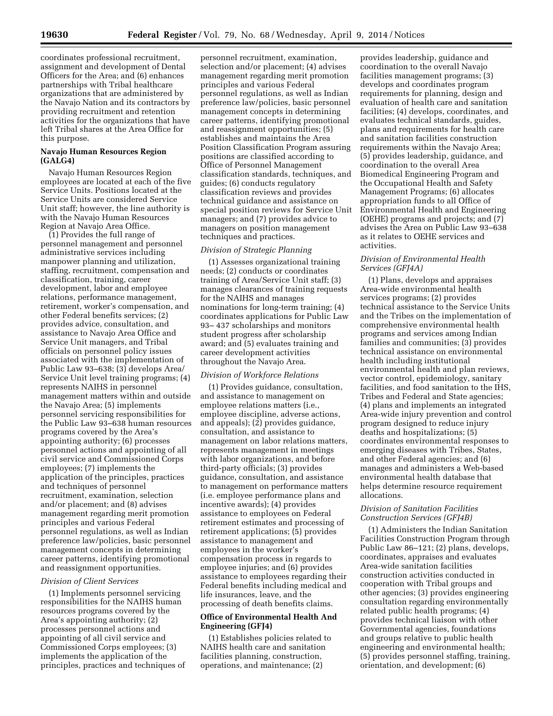coordinates professional recruitment, assignment and development of Dental Officers for the Area; and (6) enhances partnerships with Tribal healthcare organizations that are administered by the Navajo Nation and its contractors by providing recruitment and retention activities for the organizations that have left Tribal shares at the Area Office for this purpose.

#### **Navajo Human Resources Region (GALG4)**

Navajo Human Resources Region employees are located at each of the five Service Units. Positions located at the Service Units are considered Service Unit staff; however, the line authority is with the Navajo Human Resources Region at Navajo Area Office.

(1) Provides the full range of personnel management and personnel administrative services including manpower planning and utilization, staffing, recruitment, compensation and classification, training, career development, labor and employee relations, performance management, retirement, worker's compensation, and other Federal benefits services; (2) provides advice, consultation, and assistance to Navajo Area Office and Service Unit managers, and Tribal officials on personnel policy issues associated with the implementation of Public Law 93–638; (3) develops Area/ Service Unit level training programs; (4) represents NAIHS in personnel management matters within and outside the Navajo Area; (5) implements personnel servicing responsibilities for the Public Law 93–638 human resources programs covered by the Area's appointing authority; (6) processes personnel actions and appointing of all civil service and Commissioned Corps employees; (7) implements the application of the principles, practices and techniques of personnel recruitment, examination, selection and/or placement; and (8) advises management regarding merit promotion principles and various Federal personnel regulations, as well as Indian preference law/policies, basic personnel management concepts in determining career patterns, identifying promotional and reassignment opportunities.

#### *Division of Client Services*

(1) Implements personnel servicing responsibilities for the NAIHS human resources programs covered by the Area's appointing authority; (2) processes personnel actions and appointing of all civil service and Commissioned Corps employees; (3) implements the application of the principles, practices and techniques of

personnel recruitment, examination, selection and/or placement; (4) advises management regarding merit promotion principles and various Federal personnel regulations, as well as Indian preference law/policies, basic personnel management concepts in determining career patterns, identifying promotional and reassignment opportunities; (5) establishes and maintains the Area Position Classification Program assuring positions are classified according to Office of Personnel Management classification standards, techniques, and guides; (6) conducts regulatory classification reviews and provides technical guidance and assistance on special position reviews for Service Unit managers; and (7) provides advice to managers on position management techniques and practices.

#### *Division of Strategic Planning*

(1) Assesses organizational training needs; (2) conducts or coordinates training of Area/Service Unit staff; (3) manages clearances of training requests for the NAIHS and manages nominations for long-term training; (4) coordinates applications for Public Law 93– 437 scholarships and monitors student progress after scholarship award; and (5) evaluates training and career development activities throughout the Navajo Area.

#### *Division of Workforce Relations*

(1) Provides guidance, consultation, and assistance to management on employee relations matters (i.e., employee discipline, adverse actions, and appeals); (2) provides guidance, consultation, and assistance to management on labor relations matters, represents management in meetings with labor organizations, and before third-party officials; (3) provides guidance, consultation, and assistance to management on performance matters (i.e. employee performance plans and incentive awards); (4) provides assistance to employees on Federal retirement estimates and processing of retirement applications; (5) provides assistance to management and employees in the worker's compensation process in regards to employee injuries; and (6) provides assistance to employees regarding their Federal benefits including medical and life insurances, leave, and the processing of death benefits claims.

## **Office of Environmental Health And Engineering (GFJ4)**

(1) Establishes policies related to NAIHS health care and sanitation facilities planning, construction, operations, and maintenance; (2)

provides leadership, guidance and coordination to the overall Navajo facilities management programs; (3) develops and coordinates program requirements for planning, design and evaluation of health care and sanitation facilities; (4) develops, coordinates, and evaluates technical standards, guides, plans and requirements for health care and sanitation facilities construction requirements within the Navajo Area; (5) provides leadership, guidance, and coordination to the overall Area Biomedical Engineering Program and the Occupational Health and Safety Management Programs; (6) allocates appropriation funds to all Office of Environmental Health and Engineering (OEHE) programs and projects; and (7) advises the Area on Public Law 93–638 as it relates to OEHE services and activities.

### *Division of Environmental Health Services (GFJ4A)*

(1) Plans, develops and appraises Area-wide environmental health services programs; (2) provides technical assistance to the Service Units and the Tribes on the implementation of comprehensive environmental health programs and services among Indian families and communities; (3) provides technical assistance on environmental health including institutional environmental health and plan reviews, vector control, epidemiology, sanitary facilities, and food sanitation to the IHS, Tribes and Federal and State agencies; (4) plans and implements an integrated Area-wide injury prevention and control program designed to reduce injury deaths and hospitalizations; (5) coordinates environmental responses to emerging diseases with Tribes, States, and other Federal agencies; and (6) manages and administers a Web-based environmental health database that helps determine resource requirement allocations.

### *Division of Sanitation Facilities Construction Services (GFJ4B)*

(1) Administers the Indian Sanitation Facilities Construction Program through Public Law 86–121; (2) plans, develops, coordinates, appraises and evaluates Area-wide sanitation facilities construction activities conducted in cooperation with Tribal groups and other agencies; (3) provides engineering consultation regarding environmentally related public health programs; (4) provides technical liaison with other Governmental agencies, foundations and groups relative to public health engineering and environmental health; (5) provides personnel staffing, training, orientation, and development; (6)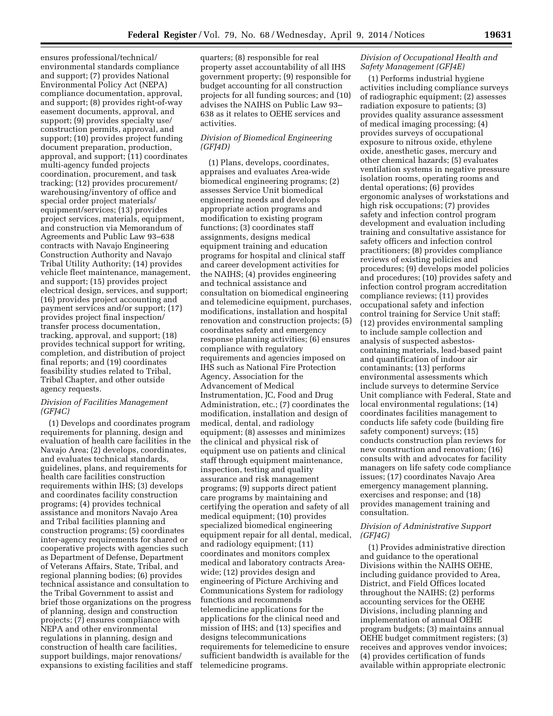ensures professional/technical/ environmental standards compliance and support; (7) provides National Environmental Policy Act (NEPA) compliance documentation, approval, and support; (8) provides right-of-way easement documents, approval, and support; (9) provides specialty use/ construction permits, approval, and support; (10) provides project funding document preparation, production, approval, and support; (11) coordinates multi-agency funded projects coordination, procurement, and task tracking; (12) provides procurement/ warehousing/inventory of office and special order project materials/ equipment/services; (13) provides project services, materials, equipment, and construction via Memorandum of Agreements and Public Law 93–638 contracts with Navajo Engineering Construction Authority and Navajo Tribal Utility Authority; (14) provides vehicle fleet maintenance, management, and support; (15) provides project electrical design, services, and support; (16) provides project accounting and payment services and/or support; (17) provides project final inspection/ transfer process documentation, tracking, approval, and support; (18) provides technical support for writing, completion, and distribution of project final reports; and (19) coordinates feasibility studies related to Tribal, Tribal Chapter, and other outside agency requests.

### *Division of Facilities Management (GFJ4C)*

(1) Develops and coordinates program requirements for planning, design and evaluation of health care facilities in the Navajo Area; (2) develops, coordinates, and evaluates technical standards, guidelines, plans, and requirements for health care facilities construction requirements within IHS; (3) develops and coordinates facility construction programs; (4) provides technical assistance and monitors Navajo Area and Tribal facilities planning and construction programs; (5) coordinates inter-agency requirements for shared or cooperative projects with agencies such as Department of Defense, Department of Veterans Affairs, State, Tribal, and regional planning bodies; (6) provides technical assistance and consultation to the Tribal Government to assist and brief those organizations on the progress of planning, design and construction projects; (7) ensures compliance with NEPA and other environmental regulations in planning, design and construction of health care facilities, support buildings, major renovations/ expansions to existing facilities and staff quarters; (8) responsible for real property asset accountability of all IHS government property; (9) responsible for budget accounting for all construction projects for all funding sources; and (10) advises the NAIHS on Public Law 93– 638 as it relates to OEHE services and activities.

# *Division of Biomedical Engineering (GFJ4D)*

(1) Plans, develops, coordinates, appraises and evaluates Area-wide biomedical engineering programs; (2) assesses Service Unit biomedical engineering needs and develops appropriate action programs and modification to existing program functions; (3) coordinates staff assignments, designs medical equipment training and education programs for hospital and clinical staff and career development activities for the NAIHS; (4) provides engineering and technical assistance and consultation on biomedical engineering and telemedicine equipment, purchases, modifications, installation and hospital renovation and construction projects; (5) coordinates safety and emergency response planning activities; (6) ensures compliance with regulatory requirements and agencies imposed on IHS such as National Fire Protection Agency, Association for the Advancement of Medical Instrumentation, JC, Food and Drug Administration, etc.; (7) coordinates the modification, installation and design of medical, dental, and radiology equipment; (8) assesses and minimizes the clinical and physical risk of equipment use on patients and clinical staff through equipment maintenance, inspection, testing and quality assurance and risk management programs; (9) supports direct patient care programs by maintaining and certifying the operation and safety of all medical equipment; (10) provides specialized biomedical engineering equipment repair for all dental, medical, and radiology equipment; (11) coordinates and monitors complex medical and laboratory contracts Areawide; (12) provides design and engineering of Picture Archiving and Communications System for radiology functions and recommends telemedicine applications for the applications for the clinical need and mission of IHS; and (13) specifies and designs telecommunications requirements for telemedicine to ensure sufficient bandwidth is available for the telemedicine programs.

### *Division of Occupational Health and Safety Management (GFJ4E)*

(1) Performs industrial hygiene activities including compliance surveys of radiographic equipment; (2) assesses radiation exposure to patients; (3) provides quality assurance assessment of medical imaging processing; (4) provides surveys of occupational exposure to nitrous oxide, ethylene oxide, anesthetic gases, mercury and other chemical hazards; (5) evaluates ventilation systems in negative pressure isolation rooms, operating rooms and dental operations; (6) provides ergonomic analyses of workstations and high risk occupations; (7) provides safety and infection control program development and evaluation including training and consultative assistance for safety officers and infection control practitioners; (8) provides compliance reviews of existing policies and procedures; (9) develops model policies and procedures; (10) provides safety and infection control program accreditation compliance reviews; (11) provides occupational safety and infection control training for Service Unit staff; (12) provides environmental sampling to include sample collection and analysis of suspected asbestoscontaining materials, lead-based paint and quantification of indoor air contaminants; (13) performs environmental assessments which include surveys to determine Service Unit compliance with Federal, State and local environmental regulations; (14) coordinates facilities management to conducts life safety code (building fire safety component) surveys; (15) conducts construction plan reviews for new construction and renovation; (16) consults with and advocates for facility managers on life safety code compliance issues; (17) coordinates Navajo Area emergency management planning, exercises and response; and (18) provides management training and consultation.

## *Division of Administrative Support (GFJ4G)*

(1) Provides administrative direction and guidance to the operational Divisions within the NAIHS OEHE, including guidance provided to Area, District, and Field Offices located throughout the NAIHS; (2) performs accounting services for the OEHE Divisions, including planning and implementation of annual OEHE program budgets; (3) maintains annual OEHE budget commitment registers; (3) receives and approves vendor invoices; (4) provides certification of funds available within appropriate electronic